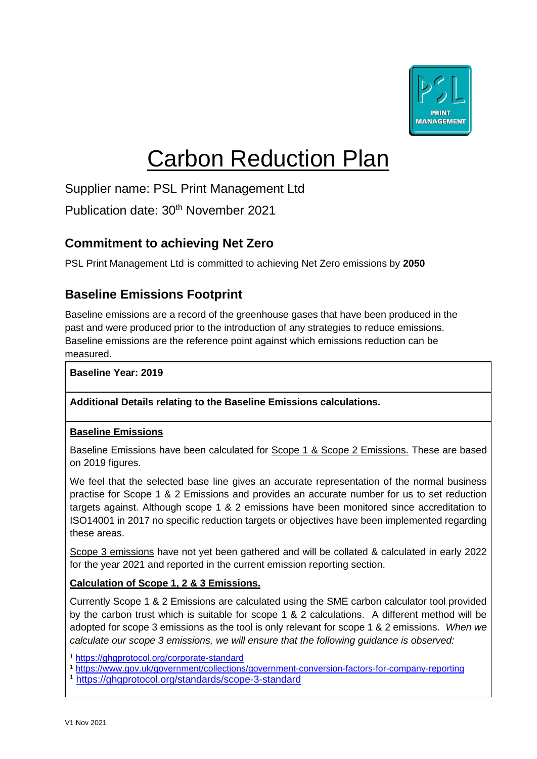

# Carbon Reduction Plan

Supplier name: PSL Print Management Ltd

Publication date: 30<sup>th</sup> November 2021

# **Commitment to achieving Net Zero**

PSL Print Management Ltd is committed to achieving Net Zero emissions by **2050**

# **Baseline Emissions Footprint**

Baseline emissions are a record of the greenhouse gases that have been produced in the past and were produced prior to the introduction of any strategies to reduce emissions. Baseline emissions are the reference point against which emissions reduction can be measured.

**Baseline Year: 2019**

#### **Additional Details relating to the Baseline Emissions calculations.**

#### **Baseline Emissions**

Baseline Emissions have been calculated for Scope 1 & Scope 2 Emissions. These are based on 2019 figures.

We feel that the selected base line gives an accurate representation of the normal business practise for Scope 1 & 2 Emissions and provides an accurate number for us to set reduction targets against. Although scope 1 & 2 emissions have been monitored since accreditation to ISO14001 in 2017 no specific reduction targets or objectives have been implemented regarding these areas.

Scope 3 emissions have not yet been gathered and will be collated & calculated in early 2022 for the year 2021 and reported in the current emission reporting section.

#### **Calculation of Scope 1, 2 & 3 Emissions.**

Currently Scope 1 & 2 Emissions are calculated using the SME carbon calculator tool provided by the carbon trust which is suitable for scope 1 & 2 calculations. A different method will be adopted for scope 3 emissions as the tool is only relevant for scope 1 & 2 emissions. *When we calculate our scope 3 emissions, we will ensure that the following guidance is observed:* 

<sup>1</sup> <https://ghgprotocol.org/corporate-standard>

<sup>1</sup> <https://www.gov.uk/government/collections/government-conversion-factors-for-company-reporting> <sup>1</sup> <https://ghgprotocol.org/standards/scope-3-standard>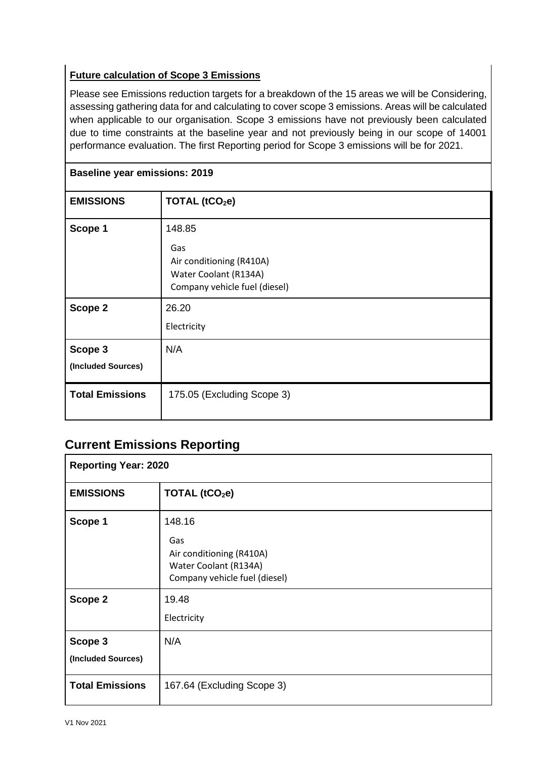## **Future calculation of Scope 3 Emissions**

Please see Emissions reduction targets for a breakdown of the 15 areas we will be Considering, assessing gathering data for and calculating to cover scope 3 emissions. Areas will be calculated when applicable to our organisation. Scope 3 emissions have not previously been calculated due to time constraints at the baseline year and not previously being in our scope of 14001 performance evaluation. The first Reporting period for Scope 3 emissions will be for 2021.

| <b>Baseline year emissions: 2019</b> |                                                                                                     |  |
|--------------------------------------|-----------------------------------------------------------------------------------------------------|--|
| <b>EMISSIONS</b>                     | TOTAL (tCO <sub>2</sub> e)                                                                          |  |
| Scope 1                              | 148.85<br>Gas<br>Air conditioning (R410A)<br>Water Coolant (R134A)<br>Company vehicle fuel (diesel) |  |
| Scope 2                              | 26.20<br>Electricity                                                                                |  |
| Scope 3<br>(Included Sources)        | N/A                                                                                                 |  |
| <b>Total Emissions</b>               | 175.05 (Excluding Scope 3)                                                                          |  |

## **Current Emissions Reporting**

| <b>Reporting Year: 2020</b>   |                                                                                                     |
|-------------------------------|-----------------------------------------------------------------------------------------------------|
| <b>EMISSIONS</b>              | TOTAL (tCO <sub>2</sub> e)                                                                          |
| Scope 1                       | 148.16<br>Gas<br>Air conditioning (R410A)<br>Water Coolant (R134A)<br>Company vehicle fuel (diesel) |
| Scope 2                       | 19.48<br>Electricity                                                                                |
| Scope 3<br>(Included Sources) | N/A                                                                                                 |
| <b>Total Emissions</b>        | 167.64 (Excluding Scope 3)                                                                          |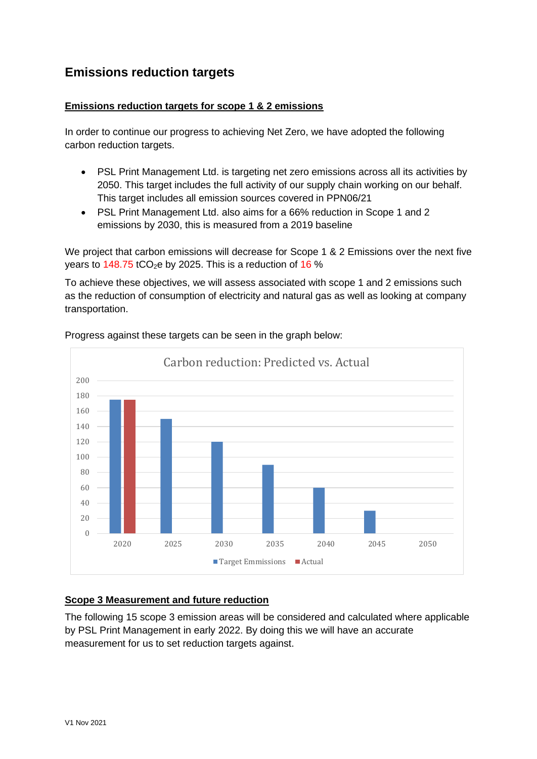# **Emissions reduction targets**

#### **Emissions reduction targets for scope 1 & 2 emissions**

In order to continue our progress to achieving Net Zero, we have adopted the following carbon reduction targets.

- PSL Print Management Ltd. is targeting net zero emissions across all its activities by 2050. This target includes the full activity of our supply chain working on our behalf. This target includes all emission sources covered in PPN06/21
- PSL Print Management Ltd. also aims for a 66% reduction in Scope 1 and 2 emissions by 2030, this is measured from a 2019 baseline

We project that carbon emissions will decrease for Scope 1 & 2 Emissions over the next five years to  $148.75$  tCO<sub>2</sub>e by 2025. This is a reduction of 16 %

To achieve these objectives, we will assess associated with scope 1 and 2 emissions such as the reduction of consumption of electricity and natural gas as well as looking at company transportation.



Progress against these targets can be seen in the graph below:

#### **Scope 3 Measurement and future reduction**

The following 15 scope 3 emission areas will be considered and calculated where applicable by PSL Print Management in early 2022. By doing this we will have an accurate measurement for us to set reduction targets against.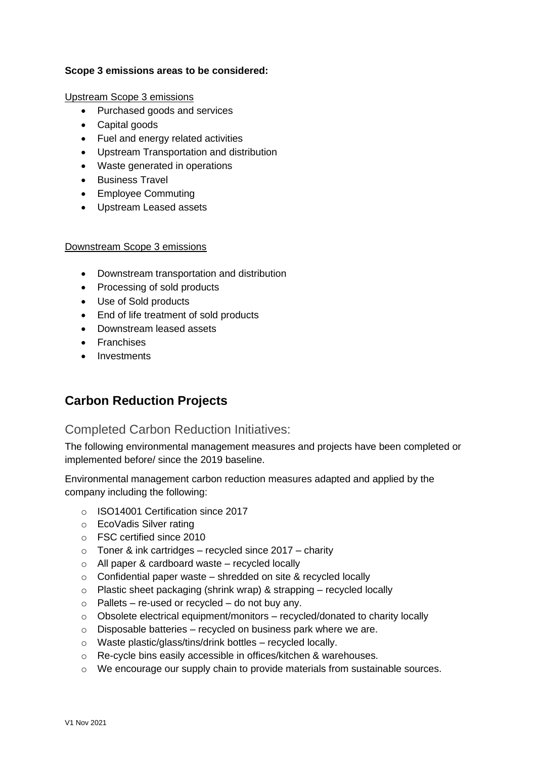#### **Scope 3 emissions areas to be considered:**

Upstream Scope 3 emissions

- Purchased goods and services
- Capital goods
- Fuel and energy related activities
- Upstream Transportation and distribution
- Waste generated in operations
- Business Travel
- Employee Commuting
- Upstream Leased assets

#### Downstream Scope 3 emissions

- Downstream transportation and distribution
- Processing of sold products
- Use of Sold products
- End of life treatment of sold products
- Downstream leased assets
- Franchises
- Investments

## **Carbon Reduction Projects**

## Completed Carbon Reduction Initiatives:

The following environmental management measures and projects have been completed or implemented before/ since the 2019 baseline.

Environmental management carbon reduction measures adapted and applied by the company including the following:

- o ISO14001 Certification since 2017
- o EcoVadis Silver rating
- o FSC certified since 2010
- $\circ$  Toner & ink cartridges recycled since 2017 charity
- o All paper & cardboard waste recycled locally
- $\circ$  Confidential paper waste shredded on site & recycled locally
- $\circ$  Plastic sheet packaging (shrink wrap) & strapping recycled locally
- $\circ$  Pallets re-used or recycled do not buy any.
- o Obsolete electrical equipment/monitors recycled/donated to charity locally
- $\circ$  Disposable batteries recycled on business park where we are.
- o Waste plastic/glass/tins/drink bottles recycled locally.
- o Re-cycle bins easily accessible in offices/kitchen & warehouses.
- o We encourage our supply chain to provide materials from sustainable sources.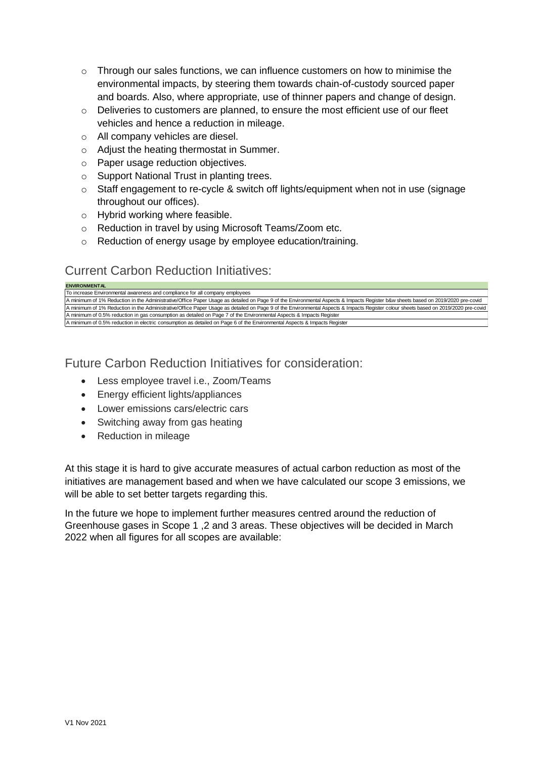- $\circ$  Through our sales functions, we can influence customers on how to minimise the environmental impacts, by steering them towards chain-of-custody sourced paper and boards. Also, where appropriate, use of thinner papers and change of design.
- o Deliveries to customers are planned, to ensure the most efficient use of our fleet vehicles and hence a reduction in mileage.
- o All company vehicles are diesel.
- o Adjust the heating thermostat in Summer.
- o Paper usage reduction objectives.
- o Support National Trust in planting trees.
- $\circ$  Staff engagement to re-cycle & switch off lights/equipment when not in use (signage throughout our offices).
- o Hybrid working where feasible.
- o Reduction in travel by using Microsoft Teams/Zoom etc.
- o Reduction of energy usage by employee education/training.

## Current Carbon Reduction Initiatives:

| <b>ENVIRONMENTAL</b>                                                                                                                                                                |  |
|-------------------------------------------------------------------------------------------------------------------------------------------------------------------------------------|--|
| To increase Environmental awareness and compliance for all company employees                                                                                                        |  |
| A minimum of 1% Reduction in the Administrative/Office Paper Usage as detailed on Page 9 of the Environmental Aspects & Impacts Register b&w sheets based on 2019/2020 pre-covid    |  |
| A minimum of 1% Reduction in the Administrative/Office Paper Usage as detailed on Page 9 of the Environmental Aspects & Impacts Register colour sheets based on 2019/2020 pre-covid |  |
| A minimum of 0.5% reduction in gas consumption as detailed on Page 7 of the Environmental Aspects & Impacts Register                                                                |  |
| A minimum of 0.5% reduction in electric consumption as detailed on Page 6 of the Environmental Aspects & Impacts Register                                                           |  |

Future Carbon Reduction Initiatives for consideration:

- Less employee travel i.e., Zoom/Teams
- Energy efficient lights/appliances
- Lower emissions cars/electric cars
- Switching away from gas heating
- Reduction in mileage

At this stage it is hard to give accurate measures of actual carbon reduction as most of the initiatives are management based and when we have calculated our scope 3 emissions, we will be able to set better targets regarding this.

In the future we hope to implement further measures centred around the reduction of Greenhouse gases in Scope 1 ,2 and 3 areas. These objectives will be decided in March 2022 when all figures for all scopes are available: